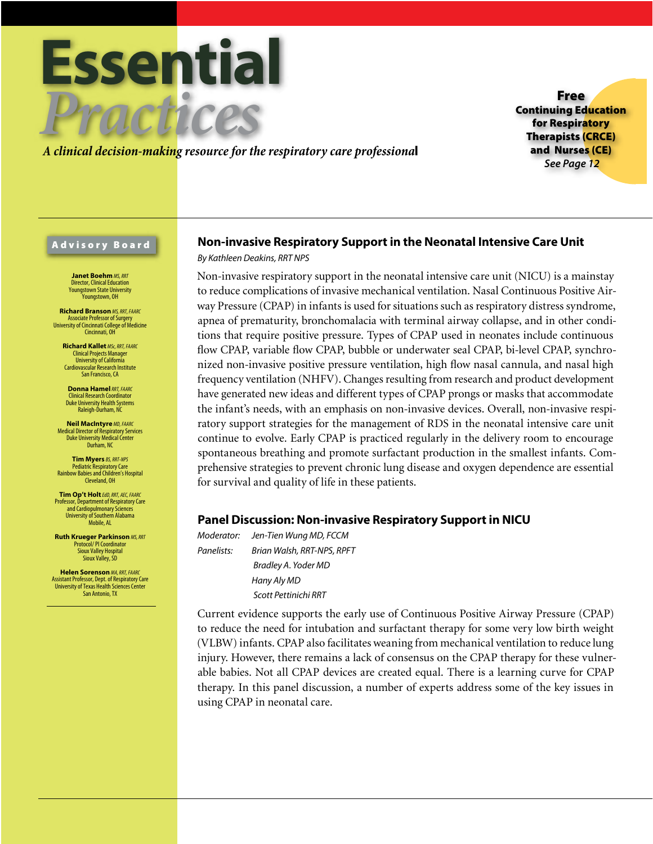

*A clinical decision-making resource for the respiratory care professiona*l

Free Continuing Education for Respiratory Therapists (CRCE) and Nurses (CE) *See Page 12*

## Advisory Board

**Janet Boehm** *MS, RRT* Director, Clinical Education Youngstown State University .<br>Younastown, OH

**Richard Branson** *MS, RRT, FAARC* Associate Professor of Surgery University of Cincinnati College of Medicine Cincinnati, OH

**Richard Kallet** *MSc, RRT, FAARC* Clinical Projects Manager University of California Cardiovascular Research Institute San Francisco, CA

**Donna Hamel***RRT, FAARC* Clinical Research Coordinator Duke University Health Systems Raleigh-Durham, NC

**Neil MacIntyre** *MD, FAARC* Medical Director of Respiratory Services Duke University Medical Center Durham, NC

**Tim Myers** *BS, RRT-NPS* Pediatric Respiratory Care Rainbow Babies and Children's Hospital Cleveland, OH

**Tim Op't Holt***EdD, RRT, AEC, FAARC* Professor, Department of Respiratory Care and Cardiopulmonary Sciences University of Southern Alabama Mobile, AL

**Ruth Krueger Parkinson** *MS, RRT* Protocol/ PI Coordinator Sioux Valley Hospital Sioux Valley, SD

**Helen Sorenson** *MA, RRT, FAARC* Assistant Professor, Dept. of Respiratory Care University of Texas Health Sciences Center San Antonio, TX

# **Non-invasive Respiratory Support in the Neonatal Intensive Care Unit**

*By Kathleen Deakins, RRT NPS* 

Non-invasive respiratory support in the neonatal intensive care unit (NICU) is a mainstay to reduce complications of invasive mechanical ventilation. Nasal Continuous Positive Airway Pressure (CPAP) in infants is used for situations such as respiratory distress syndrome, apnea of prematurity, bronchomalacia with terminal airway collapse, and in other conditions that require positive pressure. Types of CPAP used in neonates include continuous flow CPAP, variable flow CPAP, bubble or underwater seal CPAP, bi-level CPAP, synchronized non-invasive positive pressure ventilation, high flow nasal cannula, and nasal high frequency ventilation (NHFV). Changes resulting from research and product development have generated new ideas and different types of CPAP prongs or masks that accommodate the infant's needs, with an emphasis on non-invasive devices. Overall, non-invasive respiratory support strategies for the management of RDS in the neonatal intensive care unit continue to evolve. Early CPAP is practiced regularly in the delivery room to encourage spontaneous breathing and promote surfactant production in the smallest infants. Comprehensive strategies to prevent chronic lung disease and oxygen dependence are essential for survival and quality of life in these patients.

# **Panel Discussion: Non-invasive Respiratory Support in NICU**

*Moderator: Jen-Tien Wung MD, FCCM Panelists: Brian Walsh, RRT-NPS, RPFT Bradley A. Yoder MD Hany Aly MD Scott Pettinichi RRT*

Current evidence supports the early use of Continuous Positive Airway Pressure (CPAP) to reduce the need for intubation and surfactant therapy for some very low birth weight (VLBW) infants. CPAP also facilitates weaning from mechanical ventilation to reduce lung injury. However, there remains a lack of consensus on the CPAP therapy for these vulnerable babies. Not all CPAP devices are created equal. There is a learning curve for CPAP therapy. In this panel discussion, a number of experts address some of the key issues in using CPAP in neonatal care.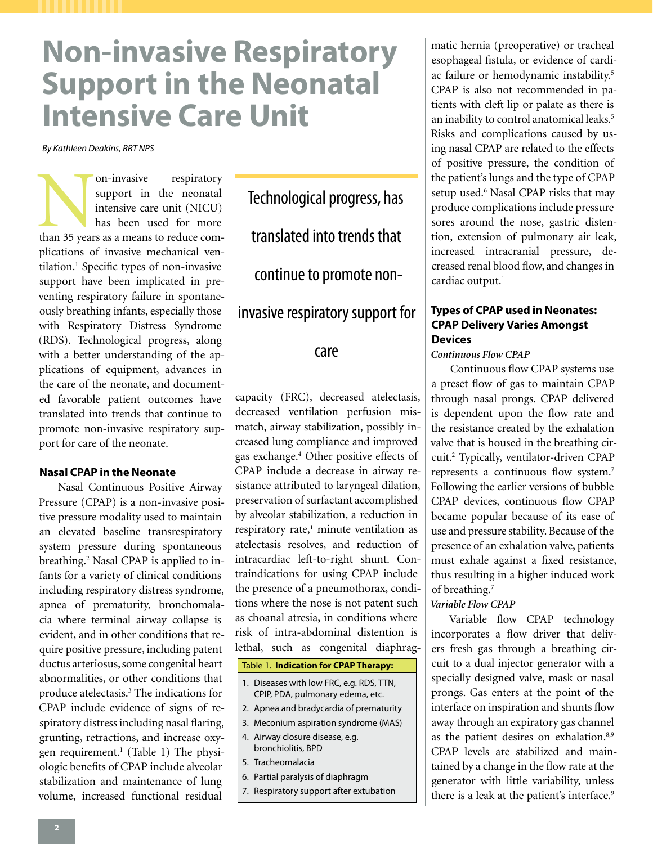# **Non-invasive Respiratory Support in the Neonatal Intensive Care Unit**

*By Kathleen Deakins, RRT NPS* 

On-invasive respiratory support in the neonatal intensive care unit (NICU) has been used for more than 35 years as a means to reduce comsupport in the neonatal intensive care unit (NICU) has been used for more plications of invasive mechanical ventilation.1 Specific types of non-invasive support have been implicated in preventing respiratory failure in spontaneously breathing infants, especially those with Respiratory Distress Syndrome (RDS). Technological progress, along with a better understanding of the applications of equipment, advances in the care of the neonate, and documented favorable patient outcomes have translated into trends that continue to promote non-invasive respiratory support for care of the neonate.

## **Nasal CPAP in the Neonate**

Nasal Continuous Positive Airway Pressure (CPAP) is a non-invasive positive pressure modality used to maintain an elevated baseline transrespiratory system pressure during spontaneous breathing.<sup>2</sup> Nasal CPAP is applied to infants for a variety of clinical conditions including respiratory distress syndrome, apnea of prematurity, bronchomalacia where terminal airway collapse is evident, and in other conditions that require positive pressure, including patent ductus arteriosus, some congenital heart abnormalities, or other conditions that produce atelectasis.3 The indications for CPAP include evidence of signs of respiratory distress including nasal flaring, grunting, retractions, and increase oxygen requirement.<sup>1</sup> (Table 1) The physiologic benefits of CPAP include alveolar stabilization and maintenance of lung volume, increased functional residual

Technological progress, has translated into trends that continue to promote noninvasive respiratory support for

## care

capacity (FRC), decreased atelectasis, decreased ventilation perfusion mismatch, airway stabilization, possibly increased lung compliance and improved gas exchange.4 Other positive effects of CPAP include a decrease in airway resistance attributed to laryngeal dilation, preservation of surfactant accomplished by alveolar stabilization, a reduction in respiratory rate,<sup>1</sup> minute ventilation as atelectasis resolves, and reduction of intracardiac left-to-right shunt. Contraindications for using CPAP include the presence of a pneumothorax, conditions where the nose is not patent such as choanal atresia, in conditions where risk of intra-abdominal distention is lethal, such as congenital diaphrag-

## Table 1. **Indication for CPAP Therapy:**

- 1. Diseases with low FRC, e.g. RDS, TTN, CPIP, PDA, pulmonary edema, etc.
- 2. Apnea and bradycardia of prematurity
- 3. Meconium aspiration syndrome (MAS)
- 4. Airway closure disease, e.g. bronchiolitis, BPD
- 5. Tracheomalacia
- 6. Partial paralysis of diaphragm
- 7. Respiratory support after extubation

matic hernia (preoperative) or tracheal esophageal fistula, or evidence of cardiac failure or hemodynamic instability.5 CPAP is also not recommended in patients with cleft lip or palate as there is an inability to control anatomical leaks.<sup>5</sup> Risks and complications caused by using nasal CPAP are related to the effects of positive pressure, the condition of the patient's lungs and the type of CPAP setup used.<sup>6</sup> Nasal CPAP risks that may produce complications include pressure sores around the nose, gastric distention, extension of pulmonary air leak, increased intracranial pressure, decreased renal blood flow, and changes in cardiac output.<sup>1</sup>

# **Types of CPAP used in Neonates: CPAP Delivery Varies Amongst Devices**

*Continuous Flow CPAP*

Continuous flow CPAP systems use a preset flow of gas to maintain CPAP through nasal prongs. CPAP delivered is dependent upon the flow rate and the resistance created by the exhalation valve that is housed in the breathing circuit.2 Typically, ventilator-driven CPAP represents a continuous flow system.7 Following the earlier versions of bubble CPAP devices, continuous flow CPAP became popular because of its ease of use and pressure stability. Because of the presence of an exhalation valve, patients must exhale against a fixed resistance, thus resulting in a higher induced work of breathing.7

## *Variable Flow CPAP*

Variable flow CPAP technology incorporates a flow driver that delivers fresh gas through a breathing circuit to a dual injector generator with a specially designed valve, mask or nasal prongs. Gas enters at the point of the interface on inspiration and shunts flow away through an expiratory gas channel as the patient desires on exhalation.<sup>8,9</sup> CPAP levels are stabilized and maintained by a change in the flow rate at the generator with little variability, unless there is a leak at the patient's interface.<sup>9</sup>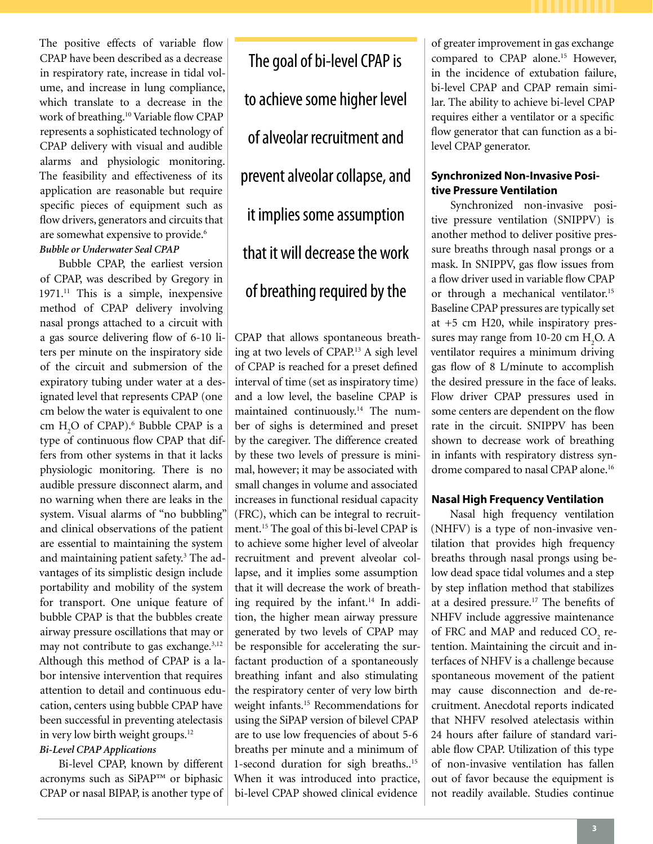The positive effects of variable flow CPAP have been described as a decrease in respiratory rate, increase in tidal volume, and increase in lung compliance, which translate to a decrease in the work of breathing.10 Variable flow CPAP represents a sophisticated technology of CPAP delivery with visual and audible alarms and physiologic monitoring. The feasibility and effectiveness of its application are reasonable but require specific pieces of equipment such as flow drivers, generators and circuits that are somewhat expensive to provide.<sup>6</sup> *Bubble or Underwater Seal CPAP* 

Bubble CPAP, the earliest version of CPAP, was described by Gregory in  $1971<sup>11</sup>$  This is a simple, inexpensive method of CPAP delivery involving nasal prongs attached to a circuit with a gas source delivering flow of 6-10 liters per minute on the inspiratory side of the circuit and submersion of the expiratory tubing under water at a designated level that represents CPAP (one cm below the water is equivalent to one cm  $H_2O$  of CPAP).<sup>6</sup> Bubble CPAP is a type of continuous flow CPAP that differs from other systems in that it lacks physiologic monitoring. There is no audible pressure disconnect alarm, and no warning when there are leaks in the system. Visual alarms of "no bubbling" and clinical observations of the patient are essential to maintaining the system and maintaining patient safety.<sup>3</sup> The advantages of its simplistic design include portability and mobility of the system for transport. One unique feature of bubble CPAP is that the bubbles create airway pressure oscillations that may or may not contribute to gas exchange. $3,12$ Although this method of CPAP is a labor intensive intervention that requires attention to detail and continuous education, centers using bubble CPAP have been successful in preventing atelectasis in very low birth weight groups.<sup>12</sup> *Bi-Level CPAP Applications*

Bi-level CPAP, known by different acronyms such as SiPAP™ or biphasic CPAP or nasal BIPAP, is another type of

The goal of bi-level CPAP is to achieve some higher level of alveolar recruitment and prevent alveolar collapse, and it implies some assumption that it will decrease the work of breathing required by the

CPAP that allows spontaneous breathing at two levels of CPAP.13 A sigh level of CPAP is reached for a preset defined interval of time (set as inspiratory time) and a low level, the baseline CPAP is maintained continuously.14 The number of sighs is determined and preset by the caregiver. The difference created by these two levels of pressure is minimal, however; it may be associated with small changes in volume and associated increases in functional residual capacity (FRC), which can be integral to recruitment.15 The goal of this bi-level CPAP is to achieve some higher level of alveolar recruitment and prevent alveolar collapse, and it implies some assumption that it will decrease the work of breathing required by the infant.<sup>14</sup> In addition, the higher mean airway pressure generated by two levels of CPAP may be responsible for accelerating the surfactant production of a spontaneously breathing infant and also stimulating the respiratory center of very low birth weight infants.15 Recommendations for using the SiPAP version of bilevel CPAP are to use low frequencies of about 5-6 breaths per minute and a minimum of 1-second duration for sigh breaths..15 When it was introduced into practice, bi-level CPAP showed clinical evidence

of greater improvement in gas exchange compared to CPAP alone.<sup>15</sup> However, in the incidence of extubation failure, bi-level CPAP and CPAP remain similar. The ability to achieve bi-level CPAP requires either a ventilator or a specific flow generator that can function as a bilevel CPAP generator.

## **Synchronized Non-Invasive Positive Pressure Ventilation**

Synchronized non-invasive positive pressure ventilation (SNIPPV) is another method to deliver positive pressure breaths through nasal prongs or a mask. In SNIPPV, gas flow issues from a flow driver used in variable flow CPAP or through a mechanical ventilator.<sup>15</sup> Baseline CPAP pressures are typically set at +5 cm H20, while inspiratory pressures may range from 10-20 cm  $H_2O$ . A ventilator requires a minimum driving gas flow of 8 L/minute to accomplish the desired pressure in the face of leaks. Flow driver CPAP pressures used in some centers are dependent on the flow rate in the circuit. SNIPPV has been shown to decrease work of breathing in infants with respiratory distress syndrome compared to nasal CPAP alone.<sup>16</sup>

# **Nasal High Frequency Ventilation**

Nasal high frequency ventilation (NHFV) is a type of non-invasive ventilation that provides high frequency breaths through nasal prongs using below dead space tidal volumes and a step by step inflation method that stabilizes at a desired pressure.<sup>17</sup> The benefits of NHFV include aggressive maintenance of FRC and MAP and reduced  $\mathrm{CO}_2^{\vphantom{\dagger}}$  retention. Maintaining the circuit and interfaces of NHFV is a challenge because spontaneous movement of the patient may cause disconnection and de-recruitment. Anecdotal reports indicated that NHFV resolved atelectasis within 24 hours after failure of standard variable flow CPAP. Utilization of this type of non-invasive ventilation has fallen out of favor because the equipment is not readily available. Studies continue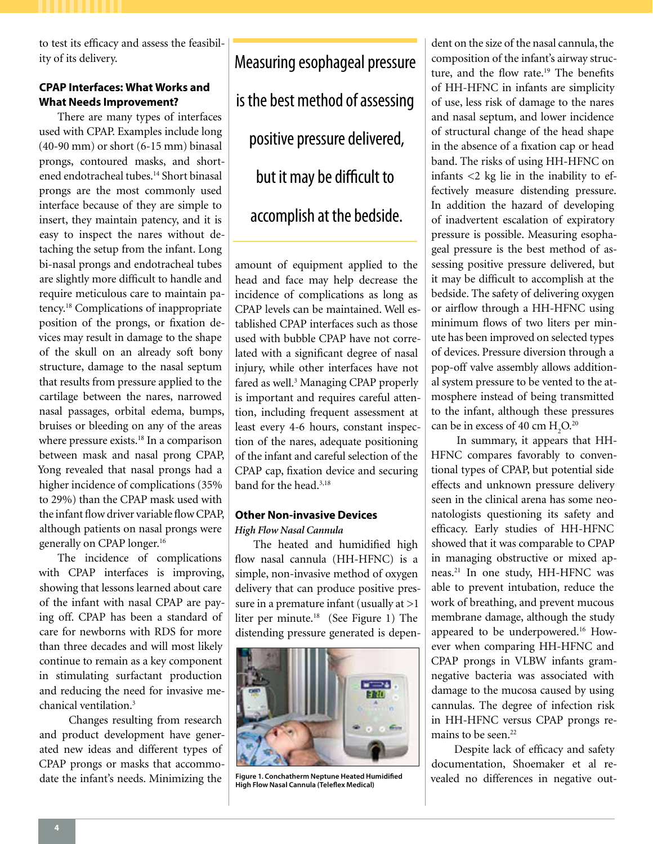to test its efficacy and assess the feasibility of its delivery.

# **CPAP Interfaces: What Works and What Needs Improvement?**

There are many types of interfaces used with CPAP. Examples include long (40-90 mm) or short (6-15 mm) binasal prongs, contoured masks, and shortened endotracheal tubes.14 Short binasal prongs are the most commonly used interface because of they are simple to insert, they maintain patency, and it is easy to inspect the nares without detaching the setup from the infant. Long bi-nasal prongs and endotracheal tubes are slightly more difficult to handle and require meticulous care to maintain patency.18 Complications of inappropriate position of the prongs, or fixation devices may result in damage to the shape of the skull on an already soft bony structure, damage to the nasal septum that results from pressure applied to the cartilage between the nares, narrowed nasal passages, orbital edema, bumps, bruises or bleeding on any of the areas where pressure exists.<sup>18</sup> In a comparison between mask and nasal prong CPAP, Yong revealed that nasal prongs had a higher incidence of complications (35% to 29%) than the CPAP mask used with the infant flow driver variable flow CPAP, although patients on nasal prongs were generally on CPAP longer.16

The incidence of complications with CPAP interfaces is improving, showing that lessons learned about care of the infant with nasal CPAP are paying off. CPAP has been a standard of care for newborns with RDS for more than three decades and will most likely continue to remain as a key component in stimulating surfactant production and reducing the need for invasive mechanical ventilation.<sup>3</sup>

 Changes resulting from research and product development have generated new ideas and different types of CPAP prongs or masks that accommodate the infant's needs. Minimizing the

Measuring esophageal pressure is the best method of assessing positive pressure delivered, but it may be difficult to accomplish at the bedside.

amount of equipment applied to the head and face may help decrease the incidence of complications as long as CPAP levels can be maintained. Well established CPAP interfaces such as those used with bubble CPAP have not correlated with a significant degree of nasal injury, while other interfaces have not fared as well.<sup>3</sup> Managing CPAP properly is important and requires careful attention, including frequent assessment at least every 4-6 hours, constant inspection of the nares, adequate positioning of the infant and careful selection of the CPAP cap, fixation device and securing band for the head.3,18

## **Other Non-invasive Devices** *High Flow Nasal Cannula*

The heated and humidified high flow nasal cannula (HH-HFNC) is a simple, non-invasive method of oxygen delivery that can produce positive pressure in a premature infant (usually at  $>1$ liter per minute.<sup>18</sup> (See Figure 1) The distending pressure generated is depen-



**Figure 1. Conchatherm Neptune Heated Humidified High Flow Nasal Cannula (Teleflex Medical)**

dent on the size of the nasal cannula, the composition of the infant's airway structure, and the flow rate.<sup>19</sup> The benefits of HH-HFNC in infants are simplicity of use, less risk of damage to the nares and nasal septum, and lower incidence of structural change of the head shape in the absence of a fixation cap or head band. The risks of using HH-HFNC on infants <2 kg lie in the inability to effectively measure distending pressure. In addition the hazard of developing of inadvertent escalation of expiratory pressure is possible. Measuring esophageal pressure is the best method of assessing positive pressure delivered, but it may be difficult to accomplish at the bedside. The safety of delivering oxygen or airflow through a HH-HFNC using minimum flows of two liters per minute has been improved on selected types of devices. Pressure diversion through a pop-off valve assembly allows additional system pressure to be vented to the atmosphere instead of being transmitted to the infant, although these pressures can be in excess of 40 cm  $\rm H_2O^{20}$ 

In summary, it appears that HH-HFNC compares favorably to conventional types of CPAP, but potential side effects and unknown pressure delivery seen in the clinical arena has some neonatologists questioning its safety and efficacy. Early studies of HH-HFNC showed that it was comparable to CPAP in managing obstructive or mixed apneas.21 In one study, HH-HFNC was able to prevent intubation, reduce the work of breathing, and prevent mucous membrane damage, although the study appeared to be underpowered.<sup>16</sup> However when comparing HH-HFNC and CPAP prongs in VLBW infants gramnegative bacteria was associated with damage to the mucosa caused by using cannulas. The degree of infection risk in HH-HFNC versus CPAP prongs remains to be seen.<sup>22</sup>

 Despite lack of efficacy and safety documentation, Shoemaker et al revealed no differences in negative out-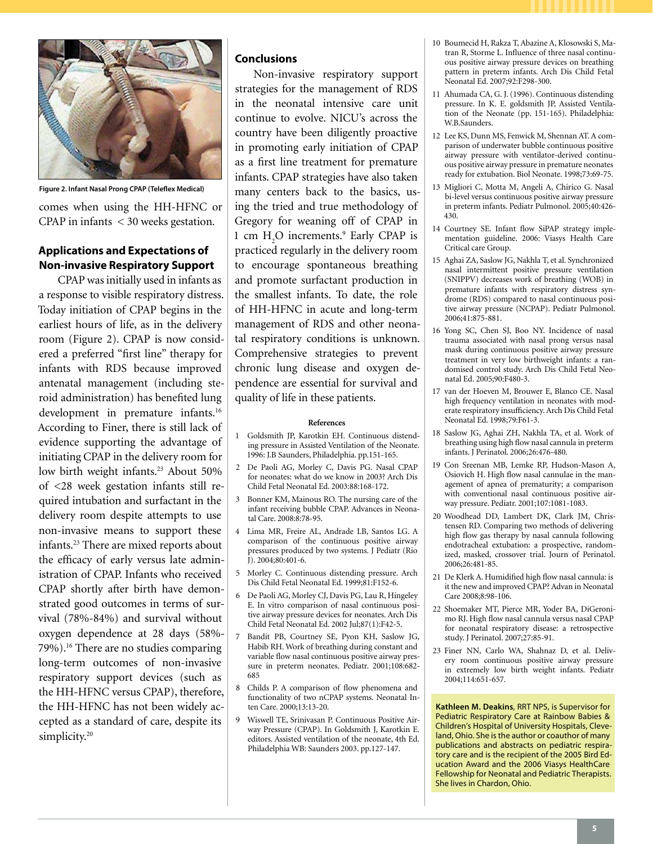

**Figure 2. Infant Nasal Prong CPAP (Teleflex Medical)**

comes when using the HH-HFNC or CPAP in infants < 30 weeks gestation.

# **Applications and Expectations of Non-invasive Respiratory Support**

CPAP was initially used in infants as a response to visible respiratory distress. Today initiation of CPAP begins in the earliest hours of life, as in the delivery room (Figure 2). CPAP is now considered a preferred "first line" therapy for infants with RDS because improved antenatal management (including steroid administration) has benefited lung development in premature infants.<sup>16</sup> According to Finer, there is still lack of evidence supporting the advantage of initiating CPAP in the delivery room for low birth weight infants.<sup>23</sup> About 50% of <28 week gestation infants still required intubation and surfactant in the delivery room despite attempts to use non-invasive means to support these infants.23 There are mixed reports about the efficacy of early versus late administration of CPAP. Infants who received CPAP shortly after birth have demonstrated good outcomes in terms of survival (78%-84%) and survival without oxygen dependence at 28 days (58%- 79%).16 There are no studies comparing long-term outcomes of non-invasive respiratory support devices (such as the HH-HFNC versus CPAP), therefore, the HH-HFNC has not been widely accepted as a standard of care, despite its simplicity.<sup>20</sup>

## **Conclusions**

Non-invasive respiratory support strategies for the management of RDS in the neonatal intensive care unit continue to evolve. NICU's across the country have been diligently proactive in promoting early initiation of CPAP as a first line treatment for premature infants. CPAP strategies have also taken many centers back to the basics, using the tried and true methodology of Gregory for weaning off of CPAP in 1 cm  $H_2O$  increments.<sup>9</sup> Early CPAP is practiced regularly in the delivery room to encourage spontaneous breathing and promote surfactant production in the smallest infants. To date, the role of HH-HFNC in acute and long-term management of RDS and other neonatal respiratory conditions is unknown. Comprehensive strategies to prevent chronic lung disease and oxygen dependence are essential for survival and quality of life in these patients.

## **References**

- 1 Goldsmith JP, Karotkin EH. Continuous distending pressure in Assisted Ventilation of the Neonate. 1996: J.B Saunders, Philadelphia. pp.151-165.
- 2 De Paoli AG, Morley C, Davis PG. Nasal CPAP for neonates: what do we know in 2003? Arch Dis Child Fetal Neonatal Ed. 2003:88:168-172.
- 3 Bonner KM, Mainous RO. The nursing care of the infant receiving bubble CPAP. Advances in Neonatal Care. 2008:8:78-95.
- 4 Lima MR, Freire AL, Andrade LB, Santos LG. A comparison of the continuous positive airway pressures produced by two systems. J Pediatr (Rio J). 2004;80:401-6.
- 5 Morley C. Continuous distending pressure. Arch Dis Child Fetal Neonatal Ed. 1999;81:F152-6.
- 6 De Paoli AG, Morley CJ, Davis PG, Lau R, Hingeley E. In vitro comparison of nasal continuous positive airway pressure devices for neonates. Arch Dis Child Fetal Neonatal Ed. 2002 Jul;87(1):F42-5.
- 7 Bandit PB, Courtney SE, Pyon KH, Saslow JG, Habib RH. Work of breathing during constant and variable flow nasal continuous positive airway pressure in preterm neonates. Pediatr. 2001;108:682- 685
- 8 Childs P. A comparison of flow phenomena and functionality of two nCPAP systems. Neonatal Inten Care. 2000:13:13-20.
- 9 Wiswell TE, Srinivasan P. Continuous Positive Airway Pressure (CPAP). In Goldsmith J, Karotkin E. editors. Assisted ventilation of the neonate, 4th Ed. Philadelphia WB: Saunders 2003. pp.127-147.
- 10 Boumecid H, Rakza T, Abazine A, Klosowski S, Matran R, Storme L. Influence of three nasal continuous positive airway pressure devices on breathing pattern in preterm infants. Arch Dis Child Fetal Neonatal Ed. 2007;92:F298-300.
- 11 Ahumada CA, G. J. (1996). Continuous distending pressure. In K. E. goldsmith JP, Assisted Ventilation of the Neonate (pp. 151-165). Philadelphia: W.B.Saunders.
- 12 Lee KS, Dunn MS, Fenwick M, Shennan AT. A comparison of underwater bubble continuous positive airway pressure with ventilator-derived continuous positive airway pressure in premature neonates ready for extubation. Biol Neonate. 1998;73:69-75.
- 13 Migliori C, Motta M, Angeli A, Chirico G. Nasal bi-level versus continuous positive airway pressure in preterm infants. Pediatr Pulmonol. 2005;40:426- 430.
- 14 Courtney SE. Infant flow SiPAP strategy implementation guideline. 2006: Viasys Health Care Critical care Group.
- 15 Aghai ZA, Saslow JG, Nakhla T, et al. Synchronized nasal intermittent positive pressure ventilation (SNIPPV) decreases work of breathing (WOB) in premature infants with respiratory distress syndrome (RDS) compared to nasal continuous positive airway pressure (NCPAP). Pediatr Pulmonol. 2006;41:875-881.
- 16 Yong SC, Chen SJ, Boo NY. Incidence of nasal trauma associated with nasal prong versus nasal mask during continuous positive airway pressure treatment in very low birthweight infants: a randomised control study. Arch Dis Child Fetal Neonatal Ed. 2005;90:F480-3.
- 17 van der Hoeven M, Brouwer E, Blanco CE. Nasal high frequency ventilation in neonates with moderate respiratory insufficiency. Arch Dis Child Fetal Neonatal Ed. 1998;79:F61-3.
- 18 Saslow JG, Aghai ZH, Nakhla TA, et al. Work of breathing using high flow nasal cannula in preterm infants. J Perinatol. 2006;26:476-480.
- 19 Con Sreenan MB, Lemke RP, Hudson-Mason A, Osiovich H. High flow nasal cannulae in the management of apnea of prematurity; a comparison with conventional nasal continuous positive airway pressure. Pediatr. 2001;107:1081-1083.
- 20 Woodhead DD, Lambert DK, Clark JM, Christensen RD. Comparing two methods of delivering high flow gas therapy by nasal cannula following endotracheal extubation: a prospective, randomized, masked, crossover trial. Journ of Perinatol. 2006;26:481-85.
- 21 De Klerk A. Humidified high flow nasal cannula: is it the new and improved CPAP? Advan in Neonatal Care 2008;8:98-106.
- 22 Shoemaker MT, Pierce MR, Yoder BA, DiGeronimo RJ. High flow nasal cannula versus nasal CPAP for neonatal respiratory disease: a retrospective study. J Perinatol. 2007;27:85-91.
- 23 Finer NN, Carlo WA, Shahnaz D, et al. Delivery room continuous positive airway pressure in extremely low birth weight infants. Pediatr 2004;114:651-657.

**Kathleen M. Deakins**, RRT NPS, is Supervisor for Pediatric Respiratory Care at Rainbow Babies & Children's Hospital of University Hospitals, Cleveland, Ohio. She is the author or coauthor of many publications and abstracts on pediatric respiratory care and is the recipient of the 2005 Bird Education Award and the 2006 Viasys HealthCare Fellowship for Neonatal and Pediatric Therapists. She lives in Chardon, Ohio.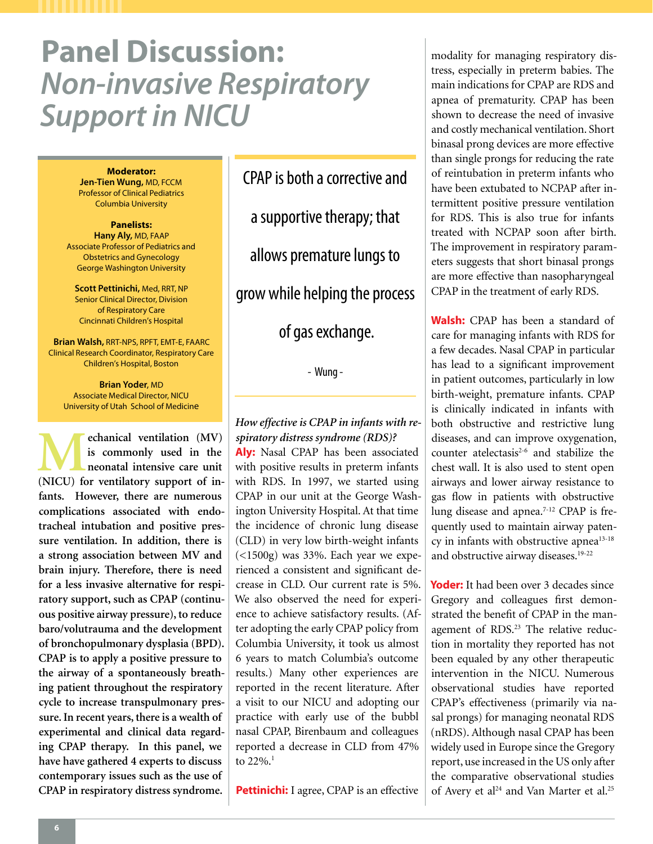# **Panel Discussion:**  *Non-invasive Respiratory Support in NICU*

**Moderator:** 

**Jen-Tien Wung,** MD, FCCM Professor of Clinical Pediatrics Columbia University

**Panelists: Hany Aly,** MD, FAAP Associate Professor of Pediatrics and Obstetrics and Gynecology George Washington University

**Scott Pettinichi,** Med, RRT, NP Senior Clinical Director, Division of Respiratory Care Cincinnati Children's Hospital

**Brian Walsh,** RRT-NPS, RPFT, EMT-E, FAARC Clinical Research Coordinator, Respiratory Care Children's Hospital, Boston

> **Brian Yoder**, MD Associate Medical Director, NICU University of Utah School of Medicine

**M** echanical ventilation (MV) is commonly used in the neonatal intensive care unit (NICU) for ventilatory support of in**is commonly used in the neonatal intensive care unit fants. However, there are numerous complications associated with endotracheal intubation and positive pressure ventilation. In addition, there is a strong association between MV and brain injury. Therefore, there is need for a less invasive alternative for respiratory support, such as CPAP (continuous positive airway pressure), to reduce baro/volutrauma and the development of bronchopulmonary dysplasia (BPD). CPAP is to apply a positive pressure to the airway of a spontaneously breathing patient throughout the respiratory cycle to increase transpulmonary pressure. In recent years, there is a wealth of experimental and clinical data regarding CPAP therapy. In this panel, we have have gathered 4 experts to discuss contemporary issues such as the use of CPAP in respiratory distress syndrome.** 

CPAP is both a corrective and a supportive therapy; that allows premature lungs to grow while helping the process of gas exchange.

- Wung -

# *How effective is CPAP in infants with respiratory distress syndrome (RDS)?*

**Aly:** Nasal CPAP has been associated with positive results in preterm infants with RDS. In 1997, we started using CPAP in our unit at the George Washington University Hospital. At that time the incidence of chronic lung disease (CLD) in very low birth-weight infants (<1500g) was 33%. Each year we experienced a consistent and significant decrease in CLD. Our current rate is 5%. We also observed the need for experience to achieve satisfactory results. (After adopting the early CPAP policy from Columbia University, it took us almost 6 years to match Columbia's outcome results.) Many other experiences are reported in the recent literature. After a visit to our NICU and adopting our practice with early use of the bubbl nasal CPAP, Birenbaum and colleagues reported a decrease in CLD from 47% to  $22\%$ .<sup>1</sup>

**Pettinichi:** I agree, CPAP is an effective

modality for managing respiratory distress, especially in preterm babies. The main indications for CPAP are RDS and apnea of prematurity. CPAP has been shown to decrease the need of invasive and costly mechanical ventilation. Short binasal prong devices are more effective than single prongs for reducing the rate of reintubation in preterm infants who have been extubated to NCPAP after intermittent positive pressure ventilation for RDS. This is also true for infants treated with NCPAP soon after birth. The improvement in respiratory parameters suggests that short binasal prongs are more effective than nasopharyngeal CPAP in the treatment of early RDS.

**Walsh:** CPAP has been a standard of care for managing infants with RDS for a few decades. Nasal CPAP in particular has lead to a significant improvement in patient outcomes, particularly in low birth-weight, premature infants. CPAP is clinically indicated in infants with both obstructive and restrictive lung diseases, and can improve oxygenation, counter atelectasis $2-6$  and stabilize the chest wall. It is also used to stent open airways and lower airway resistance to gas flow in patients with obstructive lung disease and apnea.<sup>7-12</sup> CPAP is frequently used to maintain airway patency in infants with obstructive apnea<sup>13-18</sup> and obstructive airway diseases.<sup>19-22</sup>

**Yoder:** It had been over 3 decades since Gregory and colleagues first demonstrated the benefit of CPAP in the management of RDS.<sup>23</sup> The relative reduction in mortality they reported has not been equaled by any other therapeutic intervention in the NICU. Numerous observational studies have reported CPAP's effectiveness (primarily via nasal prongs) for managing neonatal RDS (nRDS). Although nasal CPAP has been widely used in Europe since the Gregory report, use increased in the US only after the comparative observational studies of Avery et al<sup>24</sup> and Van Marter et al.<sup>25</sup>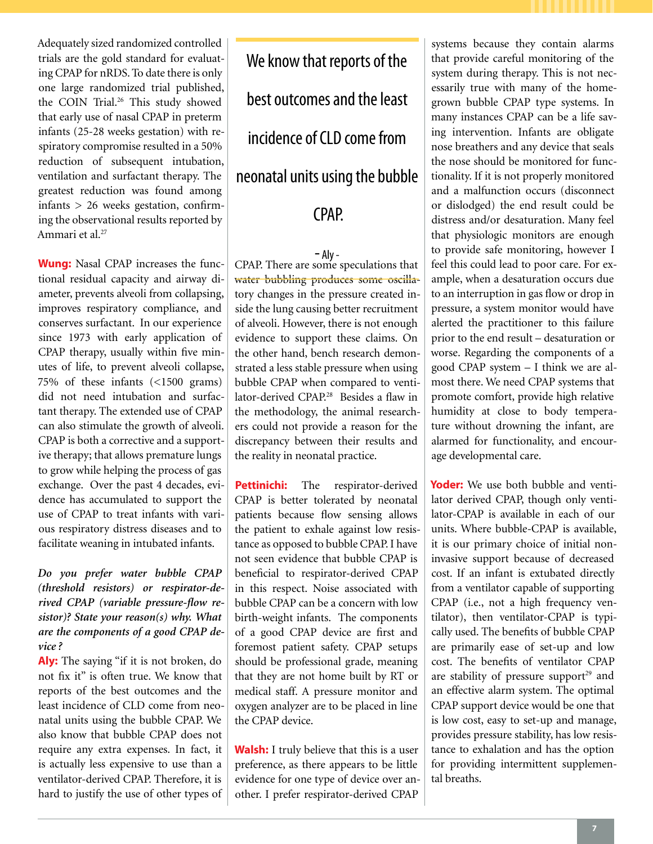Adequately sized randomized controlled trials are the gold standard for evaluating CPAP for nRDS. To date there is only one large randomized trial published, the COIN Trial.<sup>26</sup> This study showed that early use of nasal CPAP in preterm infants (25-28 weeks gestation) with respiratory compromise resulted in a 50% reduction of subsequent intubation, ventilation and surfactant therapy. The greatest reduction was found among infants > 26 weeks gestation, confirming the observational results reported by Ammari et al.27

**Wung:** Nasal CPAP increases the functional residual capacity and airway diameter, prevents alveoli from collapsing, improves respiratory compliance, and conserves surfactant. In our experience since 1973 with early application of CPAP therapy, usually within five minutes of life, to prevent alveoli collapse, 75% of these infants (<1500 grams) did not need intubation and surfactant therapy. The extended use of CPAP can also stimulate the growth of alveoli. CPAP is both a corrective and a supportive therapy; that allows premature lungs to grow while helping the process of gas exchange. Over the past 4 decades, evidence has accumulated to support the use of CPAP to treat infants with various respiratory distress diseases and to facilitate weaning in intubated infants.

*Do you prefer water bubble CPAP (threshold resistors) or respirator-derived CPAP (variable pressure-flow resistor)? State your reason(s) why. What are the components of a good CPAP device ?*

**Aly:** The saying "if it is not broken, do not fix it" is often true. We know that reports of the best outcomes and the least incidence of CLD come from neonatal units using the bubble CPAP. We also know that bubble CPAP does not require any extra expenses. In fact, it is actually less expensive to use than a ventilator-derived CPAP. Therefore, it is hard to justify the use of other types of

We know that reports of the best outcomes and the least incidence of CLD come from neonatal units using the bubble **CPAP** 

- Aly -<br>CPAP. There are some speculations that water bubbling produces some oscillatory changes in the pressure created inside the lung causing better recruitment of alveoli. However, there is not enough evidence to support these claims. On the other hand, bench research demonstrated a less stable pressure when using bubble CPAP when compared to ventilator-derived CPAP.<sup>28</sup> Besides a flaw in the methodology, the animal researchers could not provide a reason for the discrepancy between their results and the reality in neonatal practice.

**Pettinichi:** The respirator-derived CPAP is better tolerated by neonatal patients because flow sensing allows the patient to exhale against low resistance as opposed to bubble CPAP. I have not seen evidence that bubble CPAP is beneficial to respirator-derived CPAP in this respect. Noise associated with bubble CPAP can be a concern with low birth-weight infants. The components of a good CPAP device are first and foremost patient safety. CPAP setups should be professional grade, meaning that they are not home built by RT or medical staff. A pressure monitor and oxygen analyzer are to be placed in line the CPAP device.

**Walsh:** I truly believe that this is a user preference, as there appears to be little evidence for one type of device over another. I prefer respirator-derived CPAP

systems because they contain alarms that provide careful monitoring of the system during therapy. This is not necessarily true with many of the homegrown bubble CPAP type systems. In many instances CPAP can be a life saving intervention. Infants are obligate nose breathers and any device that seals the nose should be monitored for functionality. If it is not properly monitored and a malfunction occurs (disconnect or dislodged) the end result could be distress and/or desaturation. Many feel that physiologic monitors are enough to provide safe monitoring, however I feel this could lead to poor care. For example, when a desaturation occurs due to an interruption in gas flow or drop in pressure, a system monitor would have alerted the practitioner to this failure prior to the end result – desaturation or worse. Regarding the components of a good CPAP system – I think we are almost there. We need CPAP systems that promote comfort, provide high relative humidity at close to body temperature without drowning the infant, are alarmed for functionality, and encourage developmental care.

**Yoder:** We use both bubble and ventilator derived CPAP, though only ventilator-CPAP is available in each of our units. Where bubble-CPAP is available, it is our primary choice of initial noninvasive support because of decreased cost. If an infant is extubated directly from a ventilator capable of supporting CPAP (i.e., not a high frequency ventilator), then ventilator-CPAP is typically used. The benefits of bubble CPAP are primarily ease of set-up and low cost. The benefits of ventilator CPAP are stability of pressure support<sup>29</sup> and an effective alarm system. The optimal CPAP support device would be one that is low cost, easy to set-up and manage, provides pressure stability, has low resistance to exhalation and has the option for providing intermittent supplemental breaths.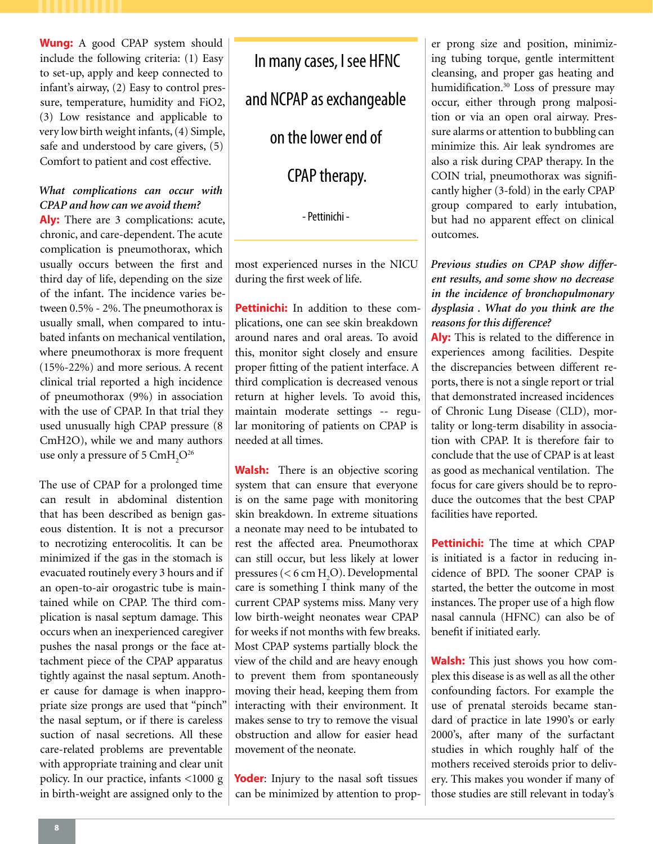**Wung:** A good CPAP system should include the following criteria: (1) Easy to set-up, apply and keep connected to infant's airway, (2) Easy to control pressure, temperature, humidity and FiO2, (3) Low resistance and applicable to very low birth weight infants, (4) Simple, safe and understood by care givers, (5) Comfort to patient and cost effective.

# *What complications can occur with CPAP and how can we avoid them?*

**Aly:** There are 3 complications: acute, chronic, and care-dependent. The acute complication is pneumothorax, which usually occurs between the first and third day of life, depending on the size of the infant. The incidence varies between 0.5% - 2%. The pneumothorax is usually small, when compared to intubated infants on mechanical ventilation, where pneumothorax is more frequent (15%-22%) and more serious. A recent clinical trial reported a high incidence of pneumothorax (9%) in association with the use of CPAP. In that trial they used unusually high CPAP pressure (8 CmH2O), while we and many authors use only a pressure of 5  $\text{CmH}_2\text{O}^{26}$ 

The use of CPAP for a prolonged time can result in abdominal distention that has been described as benign gaseous distention. It is not a precursor to necrotizing enterocolitis. It can be minimized if the gas in the stomach is evacuated routinely every 3 hours and if an open-to-air orogastric tube is maintained while on CPAP. The third complication is nasal septum damage. This occurs when an inexperienced caregiver pushes the nasal prongs or the face attachment piece of the CPAP apparatus tightly against the nasal septum. Another cause for damage is when inappropriate size prongs are used that "pinch" the nasal septum, or if there is careless suction of nasal secretions. All these care-related problems are preventable with appropriate training and clear unit policy. In our practice, infants <1000 g in birth-weight are assigned only to the

In many cases, I see HFNC and NCPAP as exchangeable on the lower end of CPAP therapy.

- Pettinichi -

most experienced nurses in the NICU during the first week of life.

**Pettinichi:** In addition to these complications, one can see skin breakdown around nares and oral areas. To avoid this, monitor sight closely and ensure proper fitting of the patient interface. A third complication is decreased venous return at higher levels. To avoid this, maintain moderate settings -- regular monitoring of patients on CPAP is needed at all times.

**Walsh:** There is an objective scoring system that can ensure that everyone is on the same page with monitoring skin breakdown. In extreme situations a neonate may need to be intubated to rest the affected area. Pneumothorax can still occur, but less likely at lower pressures ( $<$  6 cm H<sub>2</sub>O). Developmental care is something I think many of the current CPAP systems miss. Many very low birth-weight neonates wear CPAP for weeks if not months with few breaks. Most CPAP systems partially block the view of the child and are heavy enough to prevent them from spontaneously moving their head, keeping them from interacting with their environment. It makes sense to try to remove the visual obstruction and allow for easier head movement of the neonate.

Yoder: Injury to the nasal soft tissues can be minimized by attention to prop-

er prong size and position, minimizing tubing torque, gentle intermittent cleansing, and proper gas heating and humidification.<sup>30</sup> Loss of pressure may occur, either through prong malposition or via an open oral airway. Pressure alarms or attention to bubbling can minimize this. Air leak syndromes are also a risk during CPAP therapy. In the COIN trial, pneumothorax was significantly higher (3-fold) in the early CPAP group compared to early intubation, but had no apparent effect on clinical outcomes.

*Previous studies on CPAP show different results, and some show no decrease in the incidence of bronchopulmonary dysplasia . What do you think are the reasons for this difference?*

**Aly:** This is related to the difference in experiences among facilities. Despite the discrepancies between different reports, there is not a single report or trial that demonstrated increased incidences of Chronic Lung Disease (CLD), mortality or long-term disability in association with CPAP. It is therefore fair to conclude that the use of CPAP is at least as good as mechanical ventilation. The focus for care givers should be to reproduce the outcomes that the best CPAP facilities have reported.

**Pettinichi:** The time at which CPAP is initiated is a factor in reducing incidence of BPD. The sooner CPAP is started, the better the outcome in most instances. The proper use of a high flow nasal cannula (HFNC) can also be of benefit if initiated early.

**Walsh:** This just shows you how complex this disease is as well as all the other confounding factors. For example the use of prenatal steroids became standard of practice in late 1990's or early 2000's, after many of the surfactant studies in which roughly half of the mothers received steroids prior to delivery. This makes you wonder if many of those studies are still relevant in today's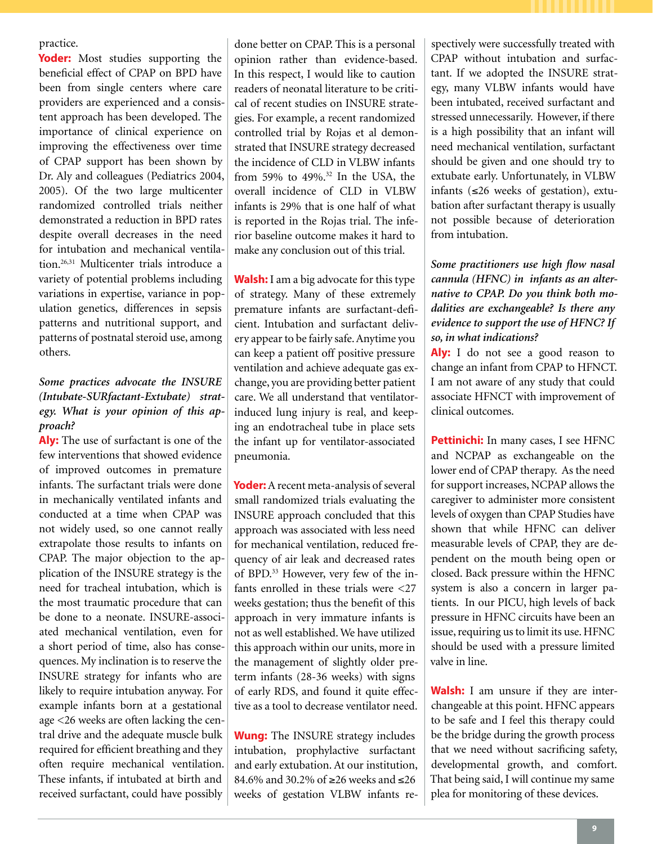practice.

**Yoder:** Most studies supporting the beneficial effect of CPAP on BPD have been from single centers where care providers are experienced and a consistent approach has been developed. The importance of clinical experience on improving the effectiveness over time of CPAP support has been shown by Dr. Aly and colleagues (Pediatrics 2004, 2005). Of the two large multicenter randomized controlled trials neither demonstrated a reduction in BPD rates despite overall decreases in the need for intubation and mechanical ventilation.26,31 Multicenter trials introduce a variety of potential problems including variations in expertise, variance in population genetics, differences in sepsis patterns and nutritional support, and patterns of postnatal steroid use, among others.

# *Some practices advocate the INSURE (Intubate-SURfactant-Extubate) strategy. What is your opinion of this approach?*

**Aly:** The use of surfactant is one of the few interventions that showed evidence of improved outcomes in premature infants. The surfactant trials were done in mechanically ventilated infants and conducted at a time when CPAP was not widely used, so one cannot really extrapolate those results to infants on CPAP. The major objection to the application of the INSURE strategy is the need for tracheal intubation, which is the most traumatic procedure that can be done to a neonate. INSURE-associated mechanical ventilation, even for a short period of time, also has consequences. My inclination is to reserve the INSURE strategy for infants who are likely to require intubation anyway. For example infants born at a gestational age <26 weeks are often lacking the central drive and the adequate muscle bulk required for efficient breathing and they often require mechanical ventilation. These infants, if intubated at birth and received surfactant, could have possibly

done better on CPAP. This is a personal opinion rather than evidence-based. In this respect, I would like to caution readers of neonatal literature to be critical of recent studies on INSURE strategies. For example, a recent randomized controlled trial by Rojas et al demonstrated that INSURE strategy decreased the incidence of CLD in VLBW infants from 59% to 49%.32 In the USA, the overall incidence of CLD in VLBW infants is 29% that is one half of what is reported in the Rojas trial. The inferior baseline outcome makes it hard to make any conclusion out of this trial.

**Walsh:** I am a big advocate for this type of strategy. Many of these extremely premature infants are surfactant-deficient. Intubation and surfactant delivery appear to be fairly safe. Anytime you can keep a patient off positive pressure ventilation and achieve adequate gas exchange, you are providing better patient care. We all understand that ventilatorinduced lung injury is real, and keeping an endotracheal tube in place sets the infant up for ventilator-associated pneumonia.

**Yoder:** A recent meta-analysis of several small randomized trials evaluating the INSURE approach concluded that this approach was associated with less need for mechanical ventilation, reduced frequency of air leak and decreased rates of BPD.33 However, very few of the infants enrolled in these trials were <27 weeks gestation; thus the benefit of this approach in very immature infants is not as well established. We have utilized this approach within our units, more in the management of slightly older preterm infants (28-36 weeks) with signs of early RDS, and found it quite effective as a tool to decrease ventilator need.

**Wung:** The INSURE strategy includes intubation, prophylactive surfactant and early extubation. At our institution, 84.6% and 30.2% of ≥26 weeks and ≤26 weeks of gestation VLBW infants respectively were successfully treated with CPAP without intubation and surfactant. If we adopted the INSURE strategy, many VLBW infants would have been intubated, received surfactant and stressed unnecessarily. However, if there is a high possibility that an infant will need mechanical ventilation, surfactant should be given and one should try to extubate early. Unfortunately, in VLBW infants (≤26 weeks of gestation), extubation after surfactant therapy is usually not possible because of deterioration from intubation.

# *Some practitioners use high flow nasal cannula (HFNC) in infants as an alternative to CPAP. Do you think both modalities are exchangeable? Is there any evidence to support the use of HFNC? If so, in what indications?*

Aly: I do not see a good reason to change an infant from CPAP to HFNCT. I am not aware of any study that could associate HFNCT with improvement of clinical outcomes.

**Pettinichi:** In many cases, I see HFNC and NCPAP as exchangeable on the lower end of CPAP therapy. As the need for support increases, NCPAP allows the caregiver to administer more consistent levels of oxygen than CPAP Studies have shown that while HFNC can deliver measurable levels of CPAP, they are dependent on the mouth being open or closed. Back pressure within the HFNC system is also a concern in larger patients. In our PICU, high levels of back pressure in HFNC circuits have been an issue, requiring us to limit its use. HFNC should be used with a pressure limited valve in line.

**Walsh:** I am unsure if they are interchangeable at this point. HFNC appears to be safe and I feel this therapy could be the bridge during the growth process that we need without sacrificing safety, developmental growth, and comfort. That being said, I will continue my same plea for monitoring of these devices.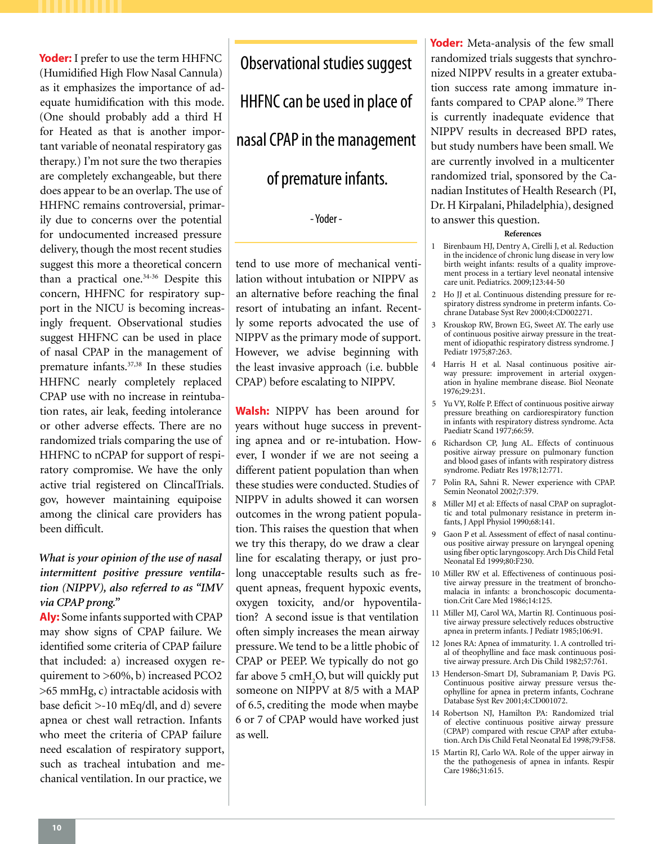**Yoder:** I prefer to use the term HHFNC (Humidified High Flow Nasal Cannula) as it emphasizes the importance of adequate humidification with this mode. (One should probably add a third H for Heated as that is another important variable of neonatal respiratory gas therapy.) I'm not sure the two therapies are completely exchangeable, but there does appear to be an overlap. The use of HHFNC remains controversial, primarily due to concerns over the potential for undocumented increased pressure delivery, though the most recent studies suggest this more a theoretical concern than a practical one.<sup>34-36</sup> Despite this concern, HHFNC for respiratory support in the NICU is becoming increasingly frequent. Observational studies suggest HHFNC can be used in place of nasal CPAP in the management of premature infants.37,38 In these studies HHFNC nearly completely replaced CPAP use with no increase in reintubation rates, air leak, feeding intolerance or other adverse effects. There are no randomized trials comparing the use of HHFNC to nCPAP for support of respiratory compromise. We have the only active trial registered on ClincalTrials. gov, however maintaining equipoise among the clinical care providers has been difficult.

# *What is your opinion of the use of nasal intermittent positive pressure ventilation (NIPPV), also referred to as "IMV via CPAP prong."*

**Aly:** Some infants supported with CPAP may show signs of CPAP failure. We identified some criteria of CPAP failure that included: a) increased oxygen requirement to >60%, b) increased PCO2 >65 mmHg, c) intractable acidosis with base deficit >-10 mEq/dl, and d) severe apnea or chest wall retraction. Infants who meet the criteria of CPAP failure need escalation of respiratory support, such as tracheal intubation and mechanical ventilation. In our practice, we

Observational studies suggest HHFNC can be used in place of nasal CPAP in the management of premature infants.

- Yoder -

tend to use more of mechanical ventilation without intubation or NIPPV as an alternative before reaching the final resort of intubating an infant. Recently some reports advocated the use of NIPPV as the primary mode of support. However, we advise beginning with the least invasive approach (i.e. bubble CPAP) before escalating to NIPPV.

**Walsh:** NIPPV has been around for years without huge success in preventing apnea and or re-intubation. However, I wonder if we are not seeing a different patient population than when these studies were conducted. Studies of NIPPV in adults showed it can worsen outcomes in the wrong patient population. This raises the question that when we try this therapy, do we draw a clear line for escalating therapy, or just prolong unacceptable results such as frequent apneas, frequent hypoxic events, oxygen toxicity, and/or hypoventilation? A second issue is that ventilation often simply increases the mean airway pressure. We tend to be a little phobic of CPAP or PEEP. We typically do not go far above 5  $\text{cmH}_2\text{O}$ , but will quickly put someone on NIPPV at 8/5 with a MAP of 6.5, crediting the mode when maybe 6 or 7 of CPAP would have worked just as well.

**Yoder:** Meta-analysis of the few small randomized trials suggests that synchronized NIPPV results in a greater extubation success rate among immature infants compared to CPAP alone.<sup>39</sup> There is currently inadequate evidence that NIPPV results in decreased BPD rates, but study numbers have been small. We are currently involved in a multicenter randomized trial, sponsored by the Canadian Institutes of Health Research (PI, Dr. H Kirpalani, Philadelphia), designed to answer this question.

## **References**

- 1 Birenbaum HJ, Dentry A, Cirelli J, et al. Reduction in the incidence of chronic lung disease in very low birth weight infants: results of a quality improvement process in a tertiary level neonatal intensive care unit. Pediatrics. 2009;123:44-50
- 2 Ho JJ et al. Continuous distending pressure for respiratory distress syndrome in preterm infants. Cochrane Database Syst Rev 2000;4:CD002271.
- 3 Krouskop RW, Brown EG, Sweet AY. The early use of continuous positive airway pressure in the treatment of idiopathic respiratory distress syndrome. J Pediatr 1975;87:263.
- 4 Harris H et al. Nasal continuous positive airway pressure: improvement in arterial oxygenation in hyaline membrane disease. Biol Neonate 1976;29:231.
- 5 Yu VY, Rolfe P. Effect of continuous positive airway pressure breathing on cardiorespiratory function in infants with respiratory distress syndrome. Acta Paediatr Scand 1977;66:59.
- 6 Richardson CP, Jung AL. Effects of continuous positive airway pressure on pulmonary function and blood gases of infants with respiratory distress syndrome. Pediatr Res 1978;12:771.
- 7 Polin RA, Sahni R. Newer experience with CPAP. Semin Neonatol 2002;7:379.
- 8 Miller MJ et al: Effects of nasal CPAP on supraglottic and total pulmonary resistance in preterm infants, J Appl Physiol 1990;68:141.
- 9 Gaon P et al. Assessment of effect of nasal continuous positive airway pressure on laryngeal opening using fiber optic laryngoscopy. Arch Dis Child Fetal Neonatal Ed 1999;80:F230.
- 10 Miller RW et al. Effectiveness of continuous positive airway pressure in the treatment of bronchomalacia in infants: a bronchoscopic documentation.Crit Care Med 1986;14:125.
- 11 Miller MJ, Carol WA, Martin RJ. Continuous positive airway pressure selectively reduces obstructive apnea in preterm infants. J Pediatr 1985;106:91.
- 12 Jones RA: Apnea of immaturity. 1. A controlled trial of theophylline and face mask continuous positive airway pressure. Arch Dis Child 1982;57:761.
- 13 Henderson-Smart DJ, Subramaniam P, Davis PG. Continuous positive airway pressure versus theophylline for apnea in preterm infants, Cochrane Database Syst Rev 2001;4:CD001072.
- 14 Robertson NJ, Hamilton PA: Randomized trial of elective continuous positive airway pressure (CPAP) compared with rescue CPAP after extubation. Arch Dis Child Fetal Neonatal Ed 1998;79:F58.
- 15 Martin RJ, Carlo WA. Role of the upper airway in the the pathogenesis of apnea in infants. Respir Care 1986;31:615.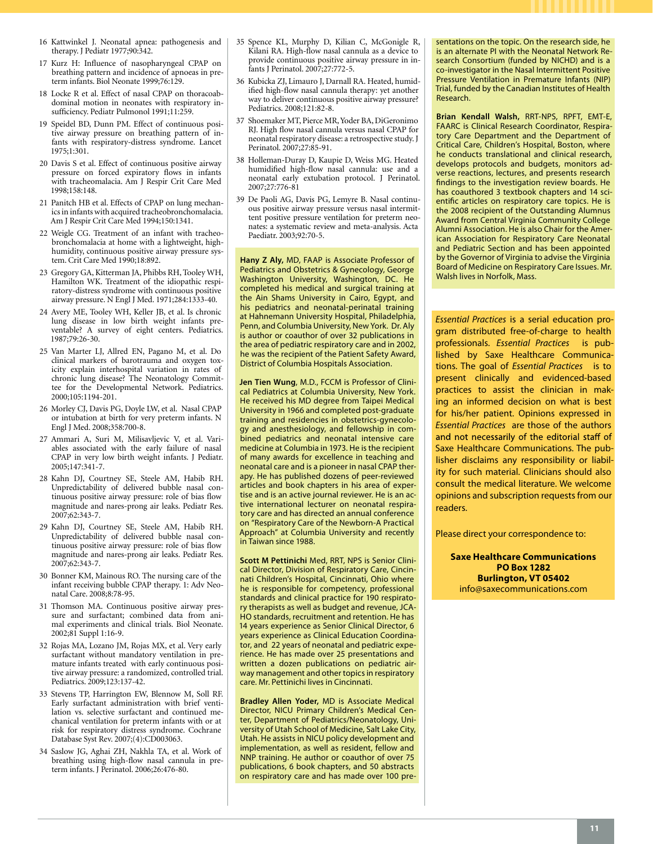- 16 Kattwinkel J. Neonatal apnea: pathogenesis and therapy. J Pediatr 1977;90:342.
- 17 Kurz H: Influence of nasopharyngeal CPAP on breathing pattern and incidence of apnoeas in preterm infants. Biol Neonate 1999;76:129.
- 18 Locke R et al. Effect of nasal CPAP on thoracoabdominal motion in neonates with respiratory insufficiency. Pediatr Pulmonol 1991;11:259.
- 19 Speidel BD, Dunn PM. Effect of continuous positive airway pressure on breathing pattern of infants with respiratory-distress syndrome. Lancet 1975;1:301.
- 20 Davis S et al. Effect of continuous positive airway pressure on forced expiratory flows in infants with tracheomalacia. Am J Respir Crit Care Med 1998;158:148.
- 21 Panitch HB et al. Effects of CPAP on lung mechanics in infants with acquired tracheobronchomalacia. Am J Respir Crit Care Med 1994;150:1341.
- 22 Weigle CG. Treatment of an infant with tracheobronchomalacia at home with a lightweight, highhumidity, continuous positive airway pressure system. Crit Care Med 1990;18:892.
- 23 Gregory GA, Kitterman JA, Phibbs RH, Tooley WH, Hamilton WK. Treatment of the idiopathic respiratory-distress syndrome with continuous positive airway pressure. N Engl J Med. 1971;284:1333-40.
- 24 Avery ME, Tooley WH, Keller JB, et al. Is chronic lung disease in low birth weight infants preventable? A survey of eight centers. Pediatrics. 1987;79:26-30.
- 25 Van Marter LJ, Allred EN, Pagano M, et al. Do clinical markers of barotrauma and oxygen toxicity explain interhospital variation in rates of chronic lung disease? The Neonatology Committee for the Developmental Network. Pediatrics. 2000;105:1194-201.
- 26 Morley CJ, Davis PG, Doyle LW, et al. Nasal CPAP or intubation at birth for very preterm infants. N Engl J Med. 2008;358:700-8.
- 27 Ammari A, Suri M, Milisavljevic V, et al. Variables associated with the early failure of nasal CPAP in very low birth weight infants. J Pediatr. 2005;147:341-7.
- 28 Kahn DJ, Courtney SE, Steele AM, Habib RH. Unpredictability of delivered bubble nasal continuous positive airway pressure: role of bias flow magnitude and nares-prong air leaks. Pediatr Res. 2007;62:343-7.
- 29 Kahn DJ, Courtney SE, Steele AM, Habib RH. Unpredictability of delivered bubble nasal continuous positive airway pressure: role of bias flow magnitude and nares-prong air leaks. Pediatr Res. 2007;62:343-7.
- 30 Bonner KM, Mainous RO. The nursing care of the infant receiving bubble CPAP therapy. 1: Adv Neonatal Care. 2008;8:78-95.
- 31 Thomson MA. Continuous positive airway pressure and surfactant; combined data from animal experiments and clinical trials. Biol Neonate. 2002;81 Suppl 1:16-9.
- 32 Rojas MA, Lozano JM, Rojas MX, et al. Very early surfactant without mandatory ventilation in premature infants treated with early continuous positive airway pressure: a randomized, controlled trial. Pediatrics. 2009;123:137-42.
- 33 Stevens TP, Harrington EW, Blennow M, Soll RF. Early surfactant administration with brief ventilation vs. selective surfactant and continued mechanical ventilation for preterm infants with or at risk for respiratory distress syndrome. Cochrane Database Syst Rev. 2007;(4):CD003063.
- 34 Saslow JG, Aghai ZH, Nakhla TA, et al. Work of breathing using high-flow nasal cannula in preterm infants. J Perinatol. 2006;26:476-80.
- 35 Spence KL, Murphy D, Kilian C, McGonigle R, Kilani RA. High-flow nasal cannula as a device to provide continuous positive airway pressure in infants J Perinatol. 2007;27:772-5.
- 36 Kubicka ZJ, Limauro J, Darnall RA. Heated, humidified high-flow nasal cannula therapy: yet another way to deliver continuous positive airway pressure? Pediatrics. 2008;121:82-8.
- 37 Shoemaker MT, Pierce MR, Yoder BA, DiGeronimo RJ. High flow nasal cannula versus nasal CPAP for neonatal respiratory disease: a retrospective study. J Perinatol. 2007;27:85-91.
- 38 Holleman-Duray D, Kaupie D, Weiss MG. Heated humidified high-flow nasal cannula: use and a neonatal early extubation protocol. J Perinatol. 2007;27:776-81
- 39 De Paoli AG, Davis PG, Lemyre B. Nasal continuous positive airway pressure versus nasal intermittent positive pressure ventilation for preterm neonates: a systematic review and meta-analysis. Acta Paediatr. 2003;92:70-5.

**Hany Z Aly,** MD, FAAP is Associate Professor of Pediatrics and Obstetrics & Gynecology, George Washington University, Washington, DC. He completed his medical and surgical training at the Ain Shams University in Cairo, Egypt, and his pediatrics and neonatal-perinatal training at Hahnemann University Hospital, Philadelphia, Penn, and Columbia University, New York. Dr. Aly is author or coauthor of over 32 publications in the area of pediatric respiratory care and in 2002, he was the recipient of the Patient Safety Award, District of Columbia Hospitals Association.

**Jen Tien Wung**, M.D., FCCM is Professor of Clinical Pediatrics at Columbia University, New York. He received his MD degree from Taipei Medical University in 1966 and completed post-graduate training and residencies in obstetrics-gynecology and anesthesiology, and fellowship in combined pediatrics and neonatal intensive care medicine at Columbia in 1973. He is the recipient of many awards for excellence in teaching and neonatal care and is a pioneer in nasal CPAP therapy. He has published dozens of peer-reviewed articles and book chapters in his area of expertise and is an active journal reviewer. He is an active international lecturer on neonatal respiratory care and has directed an annual conference on "Respiratory Care of the Newborn-A Practical Approach" at Columbia University and recently in Taiwan since 1988.

**Scott M Pettinichi** Med, RRT, NPS is Senior Clinical Director, Division of Respiratory Care, Cincinnati Children's Hospital, Cincinnati, Ohio where he is responsible for competency, professional standards and clinical practice for 190 respiratory therapists as well as budget and revenue, JCA-HO standards, recruitment and retention. He has 14 years experience as Senior Clinical Director, 6 years experience as Clinical Education Coordinator, and 22 years of neonatal and pediatric experience. He has made over 25 presentations and written a dozen publications on pediatric airway management and other topics in respiratory care. Mr. Pettinichi lives in Cincinnati.

**Bradley Allen Yoder,** MD is Associate Medical Director, NICU Primary Children's Medical Center, Department of Pediatrics/Neonatology, University of Utah School of Medicine, Salt Lake City, Utah. He assists in NICU policy development and implementation, as well as resident, fellow and NNP training. He author or coauthor of over 75 publications, 6 book chapters, and 50 abstracts on respiratory care and has made over 100 presentations on the topic. On the research side, he is an alternate PI with the Neonatal Network Research Consortium (funded by NICHD) and is a co-investigator in the Nasal Intermittent Positive Pressure Ventilation in Premature Infants (NIP) Trial, funded by the Canadian Institutes of Health Research.

**Brian Kendall Walsh,** RRT-NPS, RPFT, EMT-E, FAARC is Clinical Research Coordinator, Respiratory Care Department and the Department of Critical Care, Children's Hospital, Boston, where he conducts translational and clinical research, develops protocols and budgets, monitors adverse reactions, lectures, and presents research findings to the investigation review boards. He has coauthored 3 textbook chapters and 14 scientific articles on respiratory care topics. He is the 2008 recipient of the Outstanding Alumnus Award from Central Virginia Community College Alumni Association. He is also Chair for the American Association for Respiratory Care Neonatal and Pediatric Section and has been appointed by the Governor of Virginia to advise the Virginia Board of Medicine on Respiratory Care Issues. Mr. Walsh lives in Norfolk, Mass.

*Essential Practices* is a serial education program distributed free-of-charge to health professionals. *Essential Practices* is published by Saxe Healthcare Communications. The goal of *Essential Practices* is to present clinically and evidenced-based practices to assist the clinician in making an informed decision on what is best for his/her patient. Opinions expressed in *Essential Practices* are those of the authors and not necessarily of the editorial staff of Saxe Healthcare Communications. The publisher disclaims any responsibility or liability for such material. Clinicians should also consult the medical literature. We welcome opinions and subscription requests from our readers.

Please direct your correspondence to:

**Saxe Healthcare Communications PO Box 1282 Burlington, VT 05402** info@saxecommunications.com